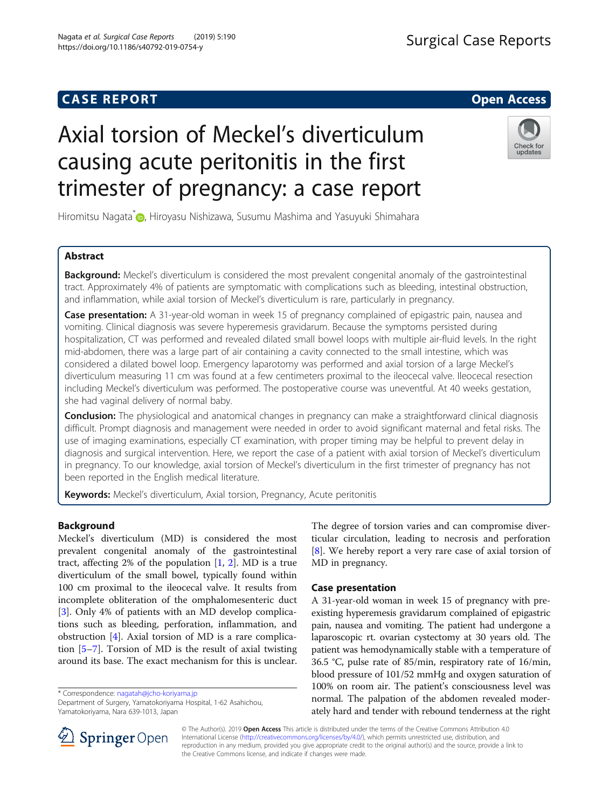# Axial torsion of Meckel's diverticulum causing acute peritonitis in the first trimester of pregnancy: a case report

Hiromitsu Nagata<sup>\*</sup> <sub>(D</sub>[,](http://orcid.org/0000-0003-3931-6830) Hiroyasu Nishizawa, Susumu Mashima and Yasuyuki Shimahara

# Abstract

Background: Meckel's diverticulum is considered the most prevalent congenital anomaly of the gastrointestinal tract. Approximately 4% of patients are symptomatic with complications such as bleeding, intestinal obstruction, and inflammation, while axial torsion of Meckel's diverticulum is rare, particularly in pregnancy.

**Case presentation:** A 31-year-old woman in week 15 of pregnancy complained of epigastric pain, nausea and vomiting. Clinical diagnosis was severe hyperemesis gravidarum. Because the symptoms persisted during hospitalization, CT was performed and revealed dilated small bowel loops with multiple air-fluid levels. In the right mid-abdomen, there was a large part of air containing a cavity connected to the small intestine, which was considered a dilated bowel loop. Emergency laparotomy was performed and axial torsion of a large Meckel's diverticulum measuring 11 cm was found at a few centimeters proximal to the ileocecal valve. Ileocecal resection including Meckel's diverticulum was performed. The postoperative course was uneventful. At 40 weeks gestation, she had vaginal delivery of normal baby.

**Conclusion:** The physiological and anatomical changes in pregnancy can make a straightforward clinical diagnosis difficult. Prompt diagnosis and management were needed in order to avoid significant maternal and fetal risks. The use of imaging examinations, especially CT examination, with proper timing may be helpful to prevent delay in diagnosis and surgical intervention. Here, we report the case of a patient with axial torsion of Meckel's diverticulum in pregnancy. To our knowledge, axial torsion of Meckel's diverticulum in the first trimester of pregnancy has not been reported in the English medical literature.

Keywords: Meckel's diverticulum, Axial torsion, Pregnancy, Acute peritonitis

# Background

Meckel's diverticulum (MD) is considered the most prevalent congenital anomaly of the gastrointestinal tract, affecting [2](#page-2-0)% of the population  $[1, 2]$  $[1, 2]$  $[1, 2]$ . MD is a true diverticulum of the small bowel, typically found within 100 cm proximal to the ileocecal valve. It results from incomplete obliteration of the omphalomesenteric duct [[3\]](#page-2-0). Only 4% of patients with an MD develop complications such as bleeding, perforation, inflammation, and obstruction [\[4](#page-2-0)]. Axial torsion of MD is a rare complication [[5](#page-2-0)–[7](#page-2-0)]. Torsion of MD is the result of axial twisting around its base. The exact mechanism for this is unclear.

\* Correspondence: [nagatah@jcho-koriyama.jp](mailto:nagatah@jcho-koriyama.jp)

Department of Surgery, Yamatokoriyama Hospital, 1-62 Asahichou, Yamatokoriyama, Nara 639-1013, Japan

The degree of torsion varies and can compromise diverticular circulation, leading to necrosis and perforation [[8\]](#page-2-0). We hereby report a very rare case of axial torsion of MD in pregnancy.

## Case presentation

A 31-year-old woman in week 15 of pregnancy with preexisting hyperemesis gravidarum complained of epigastric pain, nausea and vomiting. The patient had undergone a laparoscopic rt. ovarian cystectomy at 30 years old. The patient was hemodynamically stable with a temperature of 36.5 °C, pulse rate of 85/min, respiratory rate of 16/min, blood pressure of 101/52 mmHg and oxygen saturation of 100% on room air. The patient's consciousness level was normal. The palpation of the abdomen revealed moderately hard and tender with rebound tenderness at the right

© The Author(s). 2019 Open Access This article is distributed under the terms of the Creative Commons Attribution 4.0 International License ([http://creativecommons.org/licenses/by/4.0/\)](http://creativecommons.org/licenses/by/4.0/), which permits unrestricted use, distribution, and reproduction in any medium, provided you give appropriate credit to the original author(s) and the source, provide a link to the Creative Commons license, and indicate if changes were made.



SpringerOpen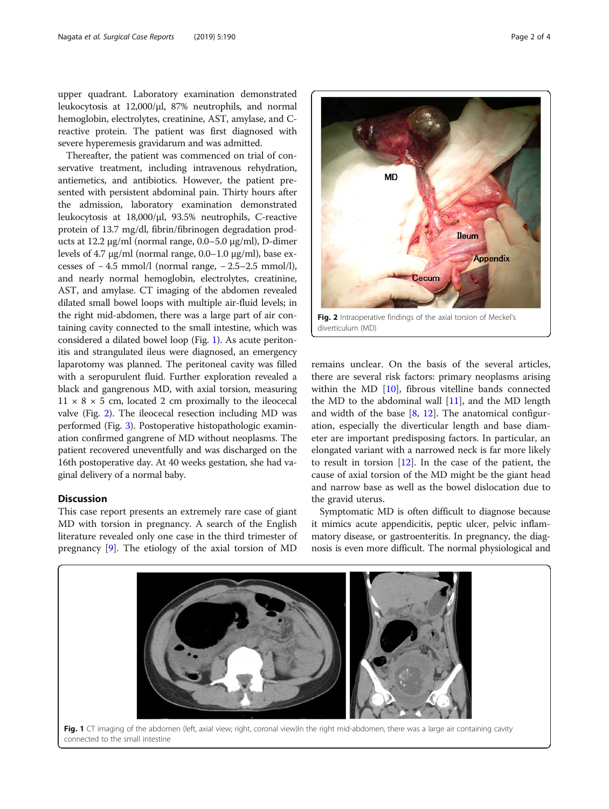upper quadrant. Laboratory examination demonstrated leukocytosis at 12,000/μl, 87% neutrophils, and normal hemoglobin, electrolytes, creatinine, AST, amylase, and Creactive protein. The patient was first diagnosed with severe hyperemesis gravidarum and was admitted.

Thereafter, the patient was commenced on trial of conservative treatment, including intravenous rehydration, antiemetics, and antibiotics. However, the patient presented with persistent abdominal pain. Thirty hours after the admission, laboratory examination demonstrated leukocytosis at 18,000/μl, 93.5% neutrophils, C-reactive protein of 13.7 mg/dl, fibrin/fibrinogen degradation products at 12.2 μg/ml (normal range, 0.0–5.0 μg/ml), D-dimer levels of 4.7 μg/ml (normal range, 0.0–1.0 μg/ml), base excesses of  $-4.5$  mmol/l (normal range,  $-2.5-2.5$  mmol/l), and nearly normal hemoglobin, electrolytes, creatinine, AST, and amylase. CT imaging of the abdomen revealed dilated small bowel loops with multiple air-fluid levels; in the right mid-abdomen, there was a large part of air containing cavity connected to the small intestine, which was considered a dilated bowel loop (Fig. 1). As acute peritonitis and strangulated ileus were diagnosed, an emergency laparotomy was planned. The peritoneal cavity was filled with a seropurulent fluid. Further exploration revealed a black and gangrenous MD, with axial torsion, measuring  $11 \times 8 \times 5$  cm, located 2 cm proximally to the ileocecal valve (Fig. 2). The ileocecal resection including MD was performed (Fig. [3](#page-2-0)). Postoperative histopathologic examination confirmed gangrene of MD without neoplasms. The patient recovered uneventfully and was discharged on the 16th postoperative day. At 40 weeks gestation, she had vaginal delivery of a normal baby.

# Discussion

This case report presents an extremely rare case of giant MD with torsion in pregnancy. A search of the English literature revealed only one case in the third trimester of pregnancy [\[9\]](#page-3-0). The etiology of the axial torsion of MD



remains unclear. On the basis of the several articles, there are several risk factors: primary neoplasms arising within the MD [[10](#page-3-0)], fibrous vitelline bands connected the MD to the abdominal wall  $[11]$  $[11]$ , and the MD length and width of the base [\[8](#page-2-0), [12\]](#page-3-0). The anatomical configuration, especially the diverticular length and base diameter are important predisposing factors. In particular, an elongated variant with a narrowed neck is far more likely to result in torsion  $[12]$  $[12]$ . In the case of the patient, the cause of axial torsion of the MD might be the giant head and narrow base as well as the bowel dislocation due to the gravid uterus.

Symptomatic MD is often difficult to diagnose because it mimics acute appendicitis, peptic ulcer, pelvic inflammatory disease, or gastroenteritis. In pregnancy, the diagnosis is even more difficult. The normal physiological and

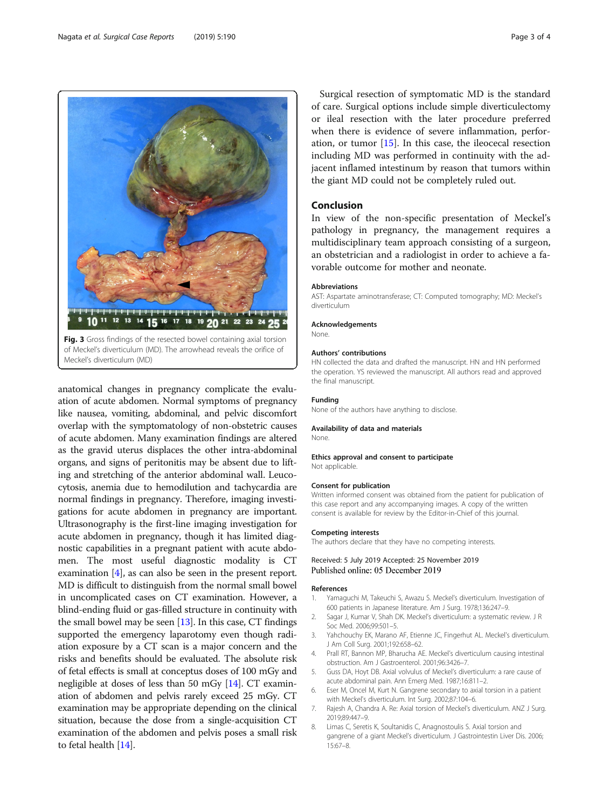anatomical changes in pregnancy complicate the evaluation of acute abdomen. Normal symptoms of pregnancy like nausea, vomiting, abdominal, and pelvic discomfort overlap with the symptomatology of non-obstetric causes of acute abdomen. Many examination findings are altered as the gravid uterus displaces the other intra-abdominal organs, and signs of peritonitis may be absent due to lifting and stretching of the anterior abdominal wall. Leucocytosis, anemia due to hemodilution and tachycardia are normal findings in pregnancy. Therefore, imaging investigations for acute abdomen in pregnancy are important. Ultrasonography is the first-line imaging investigation for acute abdomen in pregnancy, though it has limited diagnostic capabilities in a pregnant patient with acute abdomen. The most useful diagnostic modality is CT examination [4], as can also be seen in the present report. MD is difficult to distinguish from the normal small bowel in uncomplicated cases on CT examination. However, a blind-ending fluid or gas-filled structure in continuity with the small bowel may be seen  $[13]$ . In this case, CT findings supported the emergency laparotomy even though radiation exposure by a CT scan is a major concern and the risks and benefits should be evaluated. The absolute risk of fetal effects is small at conceptus doses of 100 mGy and negligible at doses of less than 50 mGy [\[14\]](#page-3-0). CT examination of abdomen and pelvis rarely exceed 25 mGy. CT examination may be appropriate depending on the clinical situation, because the dose from a single-acquisition CT examination of the abdomen and pelvis poses a small risk to fetal health [\[14\]](#page-3-0).

Fig. 3 Gross findings of the resected bowel containing axial torsion of Meckel's diverticulum (MD). The arrowhead reveals the orifice of

10 11 12 13 14 15 16 17 18 19 20 21 22 23

Meckel's diverticulum (MD)

անակամասիակամասիակամաս<mark>ի</mark>

Surgical resection of symptomatic MD is the standard of care. Surgical options include simple diverticulectomy or ileal resection with the later procedure preferred when there is evidence of severe inflammation, perforation, or tumor [\[15](#page-3-0)]. In this case, the ileocecal resection including MD was performed in continuity with the adjacent inflamed intestinum by reason that tumors within the giant MD could not be completely ruled out.

# Conclusion

In view of the non-specific presentation of Meckel's pathology in pregnancy, the management requires a multidisciplinary team approach consisting of a surgeon, an obstetrician and a radiologist in order to achieve a favorable outcome for mother and neonate.

#### Abbreviations

AST: Aspartate aminotransferase; CT: Computed tomography; MD: Meckel's diverticulum

#### Acknowledgements

None.

24

#### Authors' contributions

HN collected the data and drafted the manuscript. HN and HN performed the operation. YS reviewed the manuscript. All authors read and approved the final manuscript.

#### Funding

None of the authors have anything to disclose.

#### Availability of data and materials

None.

#### Ethics approval and consent to participate Not applicable.

#### Consent for publication

Written informed consent was obtained from the patient for publication of this case report and any accompanying images. A copy of the written consent is available for review by the Editor-in-Chief of this journal.

#### Competing interests

The authors declare that they have no competing interests.

#### Received: 5 July 2019 Accepted: 25 November 2019 Published online: 05 December 2019

#### References

- 1. Yamaguchi M, Takeuchi S, Awazu S. Meckel's diverticulum. Investigation of 600 patients in Japanese literature. Am J Surg. 1978;136:247–9.
- 2. Sagar J, Kumar V, Shah DK. Meckel's diverticulum: a systematic review. J R Soc Med. 2006;99:501–5.
- 3. Yahchouchy EK, Marano AF, Etienne JC, Fingerhut AL. Meckel's diverticulum. J Am Coll Surg. 2001;192:658–62.
- 4. Prall RT, Bannon MP, Bharucha AE. Meckel's diverticulum causing intestinal obstruction. Am J Gastroenterol. 2001;96:3426–7.
- 5. Guss DA, Hoyt DB. Axial volvulus of Meckel's diverticulum: a rare cause of acute abdominal pain. Ann Emerg Med. 1987;16:811–2.
- 6. Eser M, Oncel M, Kurt N. Gangrene secondary to axial torsion in a patient with Meckel's diverticulum. Int Surg. 2002;87:104–6.
- 7. Rajesh A, Chandra A. Re: Axial torsion of Meckel's diverticulum. ANZ J Surg. 2019;89:447–9.
- 8. Limas C, Seretis K, Soultanidis C, Anagnostoulis S. Axial torsion and gangrene of a giant Meckel's diverticulum. J Gastrointestin Liver Dis. 2006; 15:67–8.

<span id="page-2-0"></span>